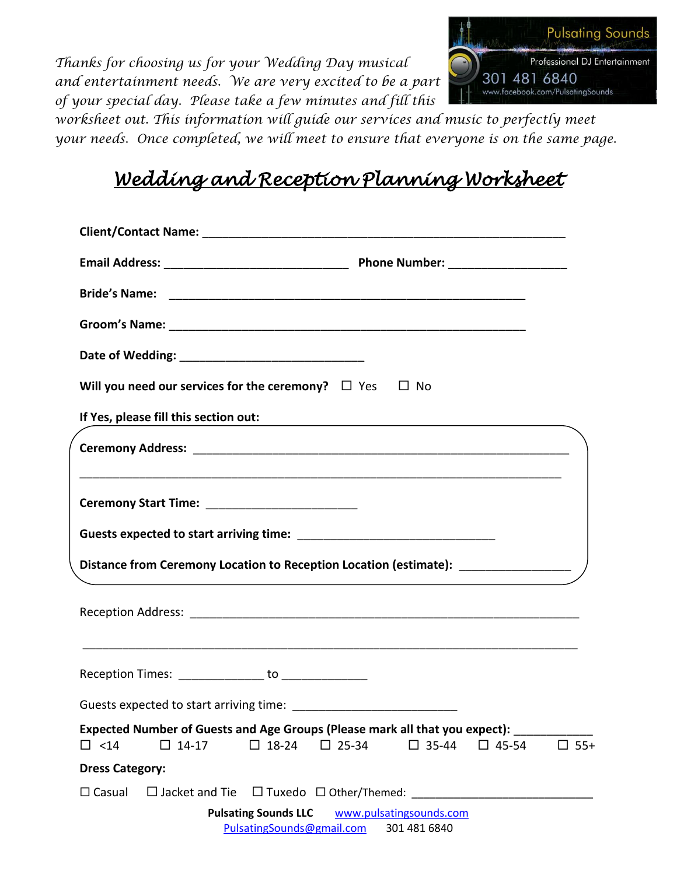*Thanks for choosing us for your Wedding Day musical and entertainment needs. We are very excited to be a part of your special day. Please take a few minutes and fill this* 



*worksheet out. This information will guide our services and music to perfectly meet your needs. Once completed, we will meet to ensure that everyone is on the same page.*

# *Wedding and Reception Planning Worksheet*

|                        | Will you need our services for the ceremony? $\Box$ Yes $\Box$ No                                                                                                     |                                                          |                                                                                                                       |                                         |              |               |
|------------------------|-----------------------------------------------------------------------------------------------------------------------------------------------------------------------|----------------------------------------------------------|-----------------------------------------------------------------------------------------------------------------------|-----------------------------------------|--------------|---------------|
|                        | If Yes, please fill this section out:                                                                                                                                 |                                                          | <u> 1989 - Johann John Stone, markin sammen fyrstu og fyrstu start og fyrstu og fyrstu og fyrstu og fyrstu og fyr</u> |                                         |              |               |
|                        | <u> 1989 - Johann Barn, mars ann an t-Amhainn an t-Amhainn an t-Amhainn an t-Amhainn an t-Amhainn an t-Amhainn an </u>                                                |                                                          |                                                                                                                       |                                         |              |               |
|                        |                                                                                                                                                                       |                                                          |                                                                                                                       |                                         |              |               |
|                        | Distance from Ceremony Location to Reception Location (estimate): ______________<br>,我们也不会有什么。""我们的人,我们也不会有什么?""我们的人,我们也不会有什么?""我们的人,我们的人,我们也不会有什么?""我们的人,我们的人,我们的人,我 |                                                          |                                                                                                                       |                                         |              |               |
|                        |                                                                                                                                                                       |                                                          |                                                                                                                       |                                         |              |               |
|                        | Reception Times: _______________ to ______________                                                                                                                    |                                                          |                                                                                                                       |                                         |              |               |
|                        |                                                                                                                                                                       |                                                          |                                                                                                                       |                                         |              |               |
| $\Box$ <14             | Expected Number of Guests and Age Groups (Please mark all that you expect):<br>$\square$ 14-17                                                                        | $\Box$ 18-24                                             | $\square$ 25-34                                                                                                       | $\square$ 35-44                         | $\Box$ 45-54 | $\square$ 55+ |
| <b>Dress Category:</b> |                                                                                                                                                                       |                                                          |                                                                                                                       |                                         |              |               |
| $\Box$ Casual          | $\Box$ Jacket and Tie                                                                                                                                                 |                                                          | $\Box$ Tuxedo $\Box$ Other/Themed: _________                                                                          |                                         |              |               |
|                        |                                                                                                                                                                       | <b>Pulsating Sounds LLC</b><br>PulsatingSounds@gmail.com |                                                                                                                       | www.pulsatingsounds.com<br>301 481 6840 |              |               |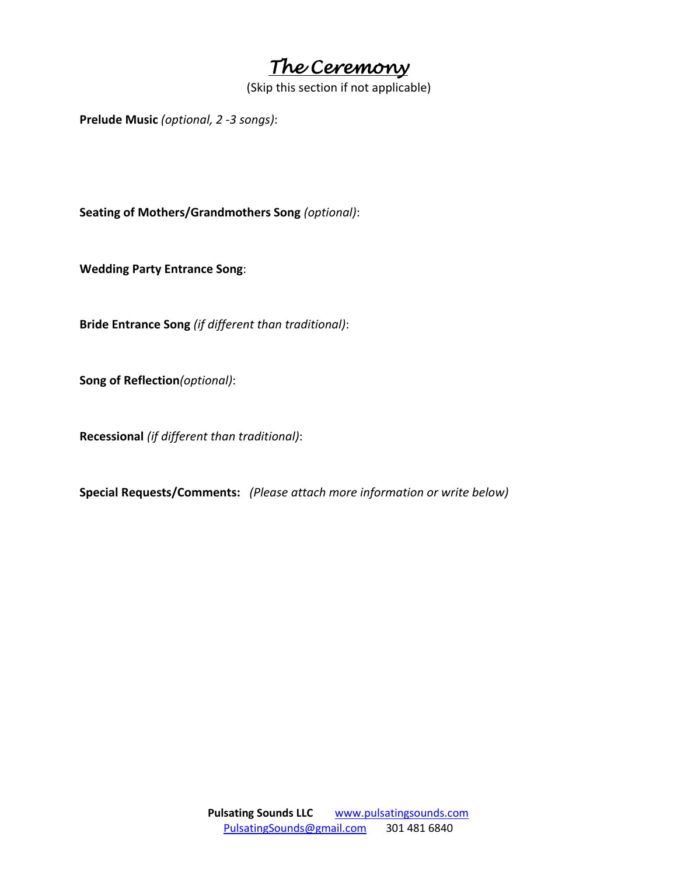*The Ceremony*

(Skip this section if not applicable)

**Prelude Music** *(optional, 2 -3 songs)*:

**Seating of Mothers/Grandmothers Song** *(optional)*:

**Wedding Party Entrance Song**:

**Bride Entrance Song** *(if different than traditional)*:

**Song of Reflection***(optional)*:

**Recessional** *(if different than traditional)*:

**Special Requests/Comments:** *(Please attach more information or write below)*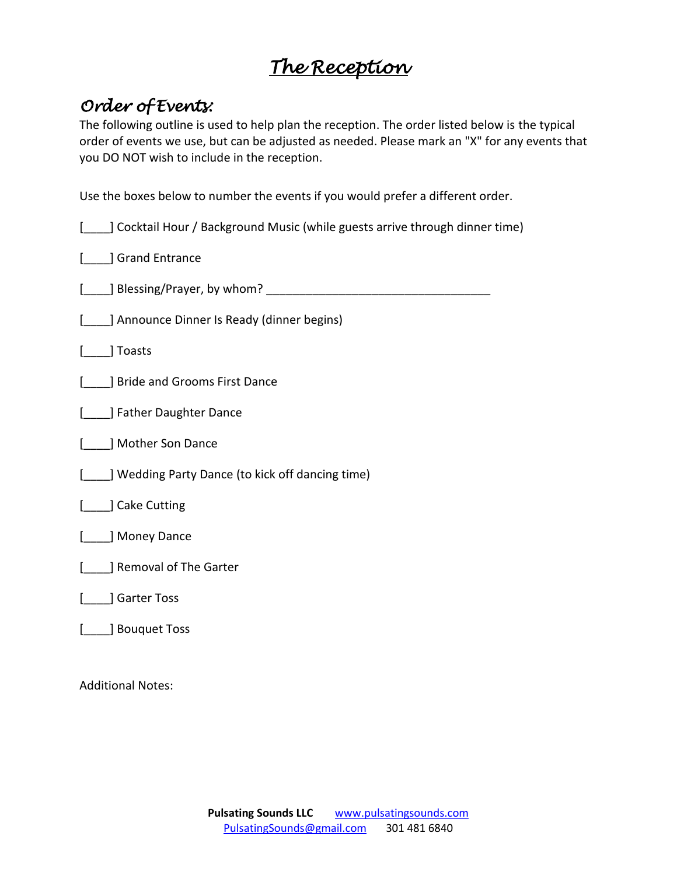## *The Reception*

### *Order of Events:*

The following outline is used to help plan the reception. The order listed below is the typical order of events we use, but can be adjusted as needed. Please mark an "X" for any events that you DO NOT wish to include in the reception.

Use the boxes below to number the events if you would prefer a different order.

| ] Cocktail Hour / Background Music (while guests arrive through dinner time) |
|------------------------------------------------------------------------------|
| Grand Entrance                                                               |
| _] Blessing/Prayer, by whom? ___                                             |
| ] Announce Dinner Is Ready (dinner begins)                                   |
| ] Toasts                                                                     |
| J Bride and Grooms First Dance                                               |
| J Father Daughter Dance                                                      |
| ] Mother Son Dance                                                           |
| Wedding Party Dance (to kick off dancing time)                               |
| ] Cake Cutting                                                               |
| ] Money Dance                                                                |
| ] Removal of The Garter                                                      |
| Garter Toss                                                                  |
| J Bouquet Toss                                                               |

Additional Notes: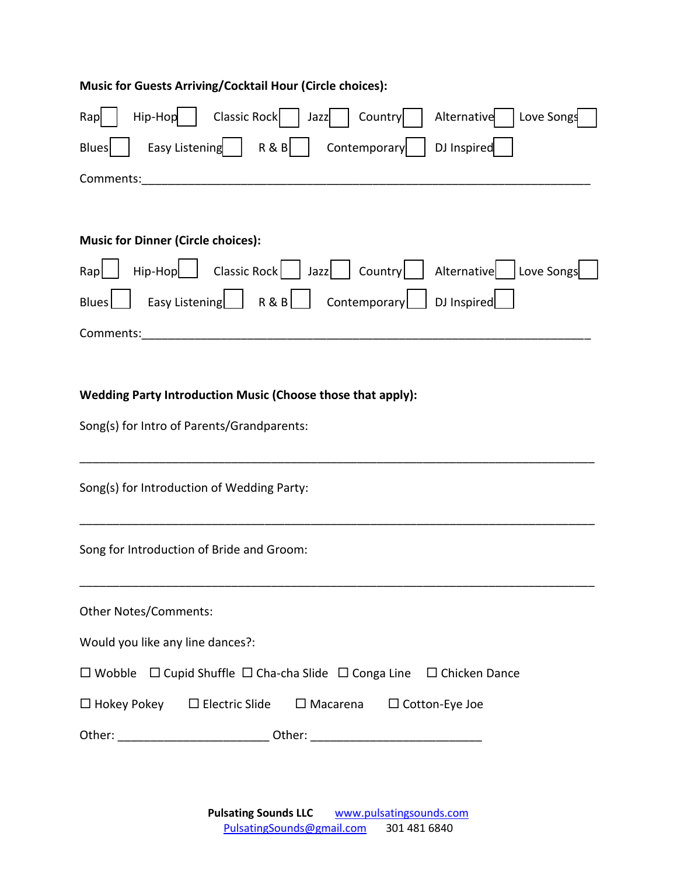| Music for Guests Arriving/Cocktail Hour (Circle choices):                                      |  |  |  |  |  |  |  |
|------------------------------------------------------------------------------------------------|--|--|--|--|--|--|--|
| Classic Rock   Jazz<br>Love Songs<br>$High-Hop$  <br>Alternative<br>Country<br>Rap             |  |  |  |  |  |  |  |
| Easy Listening $ $ R & B<br>DJ Inspired<br>Contemporary<br><b>Blues</b>                        |  |  |  |  |  |  |  |
| Comments:                                                                                      |  |  |  |  |  |  |  |
|                                                                                                |  |  |  |  |  |  |  |
| <b>Music for Dinner (Circle choices):</b>                                                      |  |  |  |  |  |  |  |
| Hip-Hop   Classic Rock   Jazz   Country   Alternative   Love Songs<br>Rap                      |  |  |  |  |  |  |  |
| Easy Listening R&B Contemporary DJ Inspired<br>Blues                                           |  |  |  |  |  |  |  |
| Comments:                                                                                      |  |  |  |  |  |  |  |
|                                                                                                |  |  |  |  |  |  |  |
| Wedding Party Introduction Music (Choose those that apply):                                    |  |  |  |  |  |  |  |
| Song(s) for Intro of Parents/Grandparents:                                                     |  |  |  |  |  |  |  |
|                                                                                                |  |  |  |  |  |  |  |
| Song(s) for Introduction of Wedding Party:                                                     |  |  |  |  |  |  |  |
|                                                                                                |  |  |  |  |  |  |  |
| Song for Introduction of Bride and Groom:                                                      |  |  |  |  |  |  |  |
|                                                                                                |  |  |  |  |  |  |  |
| <b>Other Notes/Comments:</b>                                                                   |  |  |  |  |  |  |  |
| Would you like any line dances?:                                                               |  |  |  |  |  |  |  |
| $\Box$ Wobble $\Box$ Cupid Shuffle $\Box$ Cha-cha Slide $\Box$ Conga Line $\Box$ Chicken Dance |  |  |  |  |  |  |  |
| $\Box$ Hokey Pokey $\Box$ Electric Slide $\Box$ Macarena $\Box$ Cotton-Eye Joe                 |  |  |  |  |  |  |  |
| Other: ________________________________Other: __________________________________               |  |  |  |  |  |  |  |

**Pulsating Sounds LLC** www.pulsatingsounds.com<br>PulsatingSounds@gmail.com 301 481 6840 PulsatingSounds@gmail.com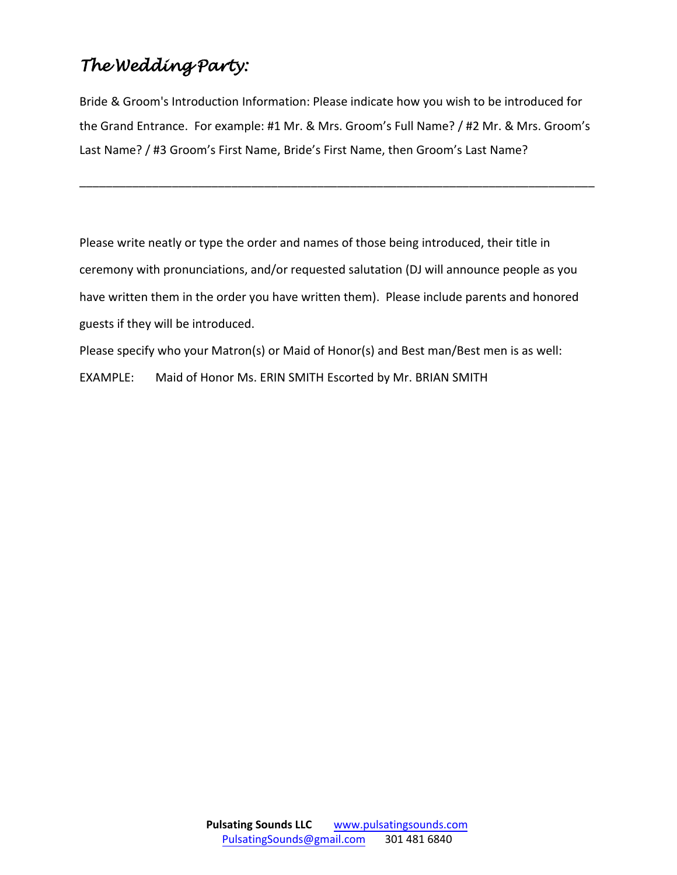## *The Wedding Party:*

Bride & Groom's Introduction Information: Please indicate how you wish to be introduced for the Grand Entrance. For example: #1 Mr. & Mrs. Groom's Full Name? / #2 Mr. & Mrs. Groom's Last Name? / #3 Groom's First Name, Bride's First Name, then Groom's Last Name?

\_\_\_\_\_\_\_\_\_\_\_\_\_\_\_\_\_\_\_\_\_\_\_\_\_\_\_\_\_\_\_\_\_\_\_\_\_\_\_\_\_\_\_\_\_\_\_\_\_\_\_\_\_\_\_\_\_\_\_\_\_\_\_\_\_\_\_\_\_\_\_\_\_\_\_\_\_\_

Please write neatly or type the order and names of those being introduced, their title in ceremony with pronunciations, and/or requested salutation (DJ will announce people as you have written them in the order you have written them). Please include parents and honored guests if they will be introduced.

Please specify who your Matron(s) or Maid of Honor(s) and Best man/Best men is as well: EXAMPLE: Maid of Honor Ms. ERIN SMITH Escorted by Mr. BRIAN SMITH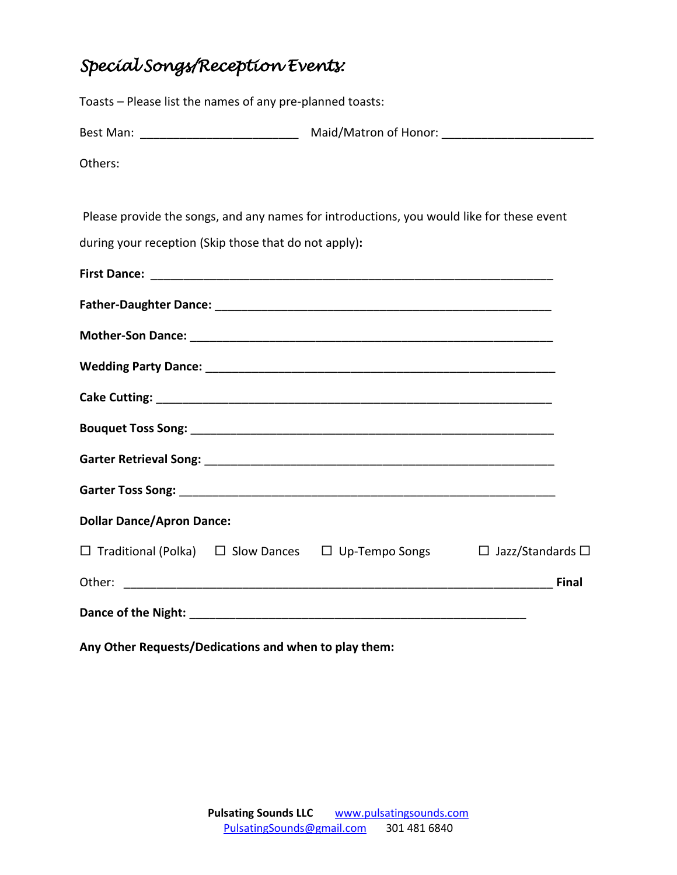## *Special Songs/Reception Events:*

| Toasts - Please list the names of any pre-planned toasts:           |                                                                                           |  |
|---------------------------------------------------------------------|-------------------------------------------------------------------------------------------|--|
|                                                                     |                                                                                           |  |
| Others:                                                             |                                                                                           |  |
|                                                                     |                                                                                           |  |
|                                                                     | Please provide the songs, and any names for introductions, you would like for these event |  |
| during your reception (Skip those that do not apply):               |                                                                                           |  |
|                                                                     |                                                                                           |  |
|                                                                     |                                                                                           |  |
|                                                                     |                                                                                           |  |
|                                                                     |                                                                                           |  |
|                                                                     |                                                                                           |  |
|                                                                     |                                                                                           |  |
|                                                                     |                                                                                           |  |
|                                                                     |                                                                                           |  |
| <b>Dollar Dance/Apron Dance:</b>                                    |                                                                                           |  |
| $\Box$ Traditional (Polka) $\Box$ Slow Dances $\Box$ Up-Tempo Songs | $\Box$ Jazz/Standards $\Box$                                                              |  |
|                                                                     | <b>Final</b>                                                                              |  |
|                                                                     |                                                                                           |  |

**Any Other Requests/Dedications and when to play them:**